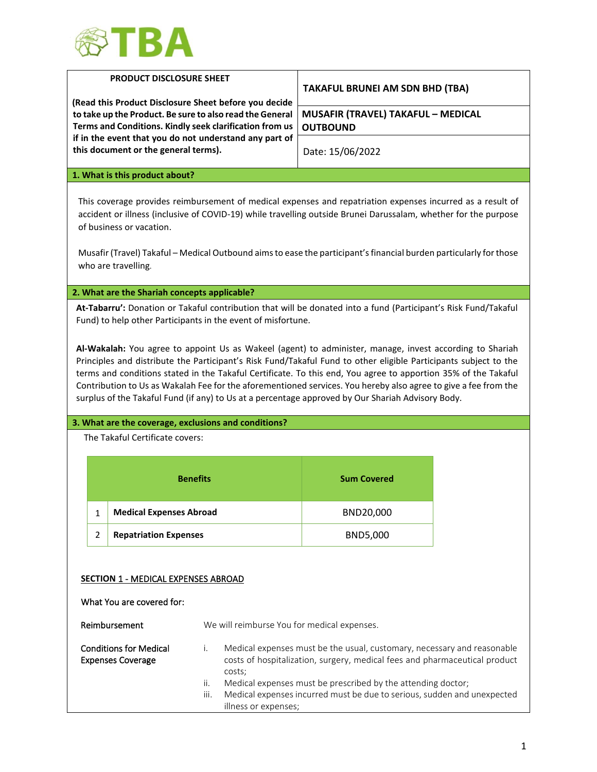

|   | <b>PRODUCT DISCLOSURE SHEET</b>                                                                                                                       |                                                                                                                                                                              | <b>TAKAFUL BRUNEI AM SDN BHD (TBA)</b>                                                                                                                                                                                                                                                                                                                                                                                                                                                                                                                                                                                                                                                    |  |
|---|-------------------------------------------------------------------------------------------------------------------------------------------------------|------------------------------------------------------------------------------------------------------------------------------------------------------------------------------|-------------------------------------------------------------------------------------------------------------------------------------------------------------------------------------------------------------------------------------------------------------------------------------------------------------------------------------------------------------------------------------------------------------------------------------------------------------------------------------------------------------------------------------------------------------------------------------------------------------------------------------------------------------------------------------------|--|
|   |                                                                                                                                                       | (Read this Product Disclosure Sheet before you decide<br>to take up the Product. Be sure to also read the General<br>Terms and Conditions. Kindly seek clarification from us | <b>MUSAFIR (TRAVEL) TAKAFUL - MEDICAL</b><br><b>OUTBOUND</b>                                                                                                                                                                                                                                                                                                                                                                                                                                                                                                                                                                                                                              |  |
|   | this document or the general terms).                                                                                                                  | if in the event that you do not understand any part of                                                                                                                       | Date: 15/06/2022                                                                                                                                                                                                                                                                                                                                                                                                                                                                                                                                                                                                                                                                          |  |
|   | 1. What is this product about?                                                                                                                        |                                                                                                                                                                              |                                                                                                                                                                                                                                                                                                                                                                                                                                                                                                                                                                                                                                                                                           |  |
|   | of business or vacation.<br>who are travelling.                                                                                                       |                                                                                                                                                                              | This coverage provides reimbursement of medical expenses and repatriation expenses incurred as a result of<br>accident or illness (inclusive of COVID-19) while travelling outside Brunei Darussalam, whether for the purpose<br>Musafir (Travel) Takaful – Medical Outbound aims to ease the participant's financial burden particularly for those                                                                                                                                                                                                                                                                                                                                       |  |
|   | 2. What are the Shariah concepts applicable?                                                                                                          |                                                                                                                                                                              |                                                                                                                                                                                                                                                                                                                                                                                                                                                                                                                                                                                                                                                                                           |  |
|   |                                                                                                                                                       | Fund) to help other Participants in the event of misfortune.                                                                                                                 | At-Tabarru': Donation or Takaful contribution that will be donated into a fund (Participant's Risk Fund/Takaful<br>Al-Wakalah: You agree to appoint Us as Wakeel (agent) to administer, manage, invest according to Shariah<br>Principles and distribute the Participant's Risk Fund/Takaful Fund to other eligible Participants subject to the<br>terms and conditions stated in the Takaful Certificate. To this end, You agree to apportion 35% of the Takaful<br>Contribution to Us as Wakalah Fee for the aforementioned services. You hereby also agree to give a fee from the<br>surplus of the Takaful Fund (if any) to Us at a percentage approved by Our Shariah Advisory Body. |  |
|   |                                                                                                                                                       | 3. What are the coverage, exclusions and conditions?                                                                                                                         |                                                                                                                                                                                                                                                                                                                                                                                                                                                                                                                                                                                                                                                                                           |  |
|   | The Takaful Certificate covers:                                                                                                                       |                                                                                                                                                                              |                                                                                                                                                                                                                                                                                                                                                                                                                                                                                                                                                                                                                                                                                           |  |
|   |                                                                                                                                                       | <b>Benefits</b>                                                                                                                                                              | <b>Sum Covered</b>                                                                                                                                                                                                                                                                                                                                                                                                                                                                                                                                                                                                                                                                        |  |
| 1 | <b>Medical Expenses Abroad</b>                                                                                                                        |                                                                                                                                                                              | BND20,000                                                                                                                                                                                                                                                                                                                                                                                                                                                                                                                                                                                                                                                                                 |  |
| 2 | <b>Repatriation Expenses</b>                                                                                                                          |                                                                                                                                                                              | BND5,000                                                                                                                                                                                                                                                                                                                                                                                                                                                                                                                                                                                                                                                                                  |  |
|   | <b>SECTION 1 - MEDICAL EXPENSES ABROAD</b><br>What You are covered for:<br>Reimbursement<br><b>Conditions for Medical</b><br><b>Expenses Coverage</b> | We will reimburse You for medical expenses.<br>i.                                                                                                                            | Medical expenses must be the usual, customary, necessary and reasonable<br>costs of hospitalization, surgery, medical fees and pharmaceutical product                                                                                                                                                                                                                                                                                                                                                                                                                                                                                                                                     |  |

illness or expenses;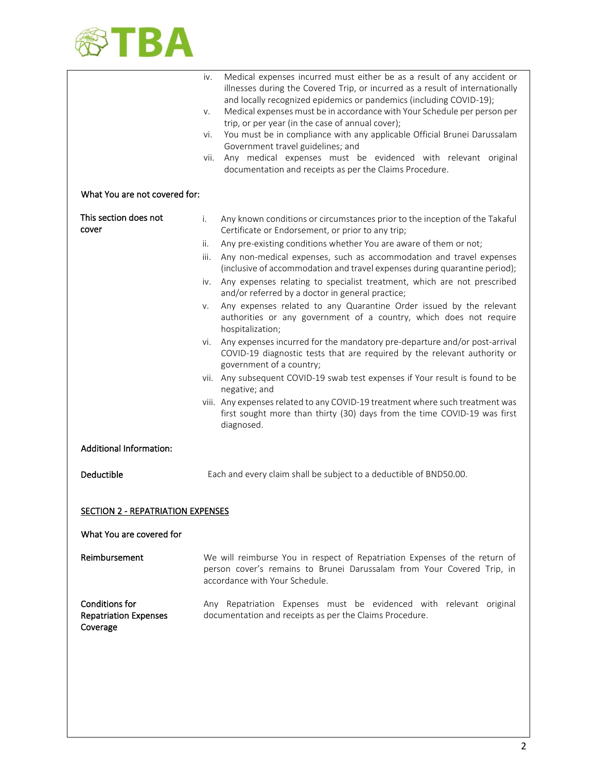

|                                                            | Medical expenses incurred must either be as a result of any accident or<br>İV.<br>illnesses during the Covered Trip, or incurred as a result of internationally<br>and locally recognized epidemics or pandemics (including COVID-19);<br>Medical expenses must be in accordance with Your Schedule per person per<br>V.<br>trip, or per year (in the case of annual cover);<br>You must be in compliance with any applicable Official Brunei Darussalam<br>vi.<br>Government travel guidelines; and<br>Any medical expenses must be evidenced with relevant original<br>vii.<br>documentation and receipts as per the Claims Procedure. |  |
|------------------------------------------------------------|------------------------------------------------------------------------------------------------------------------------------------------------------------------------------------------------------------------------------------------------------------------------------------------------------------------------------------------------------------------------------------------------------------------------------------------------------------------------------------------------------------------------------------------------------------------------------------------------------------------------------------------|--|
| What You are not covered for:                              |                                                                                                                                                                                                                                                                                                                                                                                                                                                                                                                                                                                                                                          |  |
| This section does not<br>cover                             | Any known conditions or circumstances prior to the inception of the Takaful<br>i.<br>Certificate or Endorsement, or prior to any trip;                                                                                                                                                                                                                                                                                                                                                                                                                                                                                                   |  |
|                                                            | Any pre-existing conditions whether You are aware of them or not;<br>ii.                                                                                                                                                                                                                                                                                                                                                                                                                                                                                                                                                                 |  |
|                                                            | Any non-medical expenses, such as accommodation and travel expenses<br>iii.<br>(inclusive of accommodation and travel expenses during quarantine period);                                                                                                                                                                                                                                                                                                                                                                                                                                                                                |  |
|                                                            | Any expenses relating to specialist treatment, which are not prescribed<br>iv.<br>and/or referred by a doctor in general practice;                                                                                                                                                                                                                                                                                                                                                                                                                                                                                                       |  |
|                                                            | Any expenses related to any Quarantine Order issued by the relevant<br>V.<br>authorities or any government of a country, which does not require<br>hospitalization;                                                                                                                                                                                                                                                                                                                                                                                                                                                                      |  |
|                                                            | Any expenses incurred for the mandatory pre-departure and/or post-arrival<br>Vİ.<br>COVID-19 diagnostic tests that are required by the relevant authority or<br>government of a country;                                                                                                                                                                                                                                                                                                                                                                                                                                                 |  |
|                                                            | vii. Any subsequent COVID-19 swab test expenses if Your result is found to be<br>negative; and                                                                                                                                                                                                                                                                                                                                                                                                                                                                                                                                           |  |
|                                                            | viii. Any expenses related to any COVID-19 treatment where such treatment was<br>first sought more than thirty (30) days from the time COVID-19 was first<br>diagnosed.                                                                                                                                                                                                                                                                                                                                                                                                                                                                  |  |
| <b>Additional Information:</b>                             |                                                                                                                                                                                                                                                                                                                                                                                                                                                                                                                                                                                                                                          |  |
| Deductible                                                 | Each and every claim shall be subject to a deductible of BND50.00.                                                                                                                                                                                                                                                                                                                                                                                                                                                                                                                                                                       |  |
| <b>SECTION 2 - REPATRIATION EXPENSES</b>                   |                                                                                                                                                                                                                                                                                                                                                                                                                                                                                                                                                                                                                                          |  |
| What You are covered for                                   |                                                                                                                                                                                                                                                                                                                                                                                                                                                                                                                                                                                                                                          |  |
|                                                            |                                                                                                                                                                                                                                                                                                                                                                                                                                                                                                                                                                                                                                          |  |
| Reimbursement                                              | We will reimburse You in respect of Repatriation Expenses of the return of<br>person cover's remains to Brunei Darussalam from Your Covered Trip, in<br>accordance with Your Schedule.                                                                                                                                                                                                                                                                                                                                                                                                                                                   |  |
| Conditions for<br><b>Repatriation Expenses</b><br>Coverage | Any Repatriation Expenses must be evidenced with relevant original<br>documentation and receipts as per the Claims Procedure.                                                                                                                                                                                                                                                                                                                                                                                                                                                                                                            |  |
|                                                            |                                                                                                                                                                                                                                                                                                                                                                                                                                                                                                                                                                                                                                          |  |
|                                                            |                                                                                                                                                                                                                                                                                                                                                                                                                                                                                                                                                                                                                                          |  |
|                                                            |                                                                                                                                                                                                                                                                                                                                                                                                                                                                                                                                                                                                                                          |  |
|                                                            |                                                                                                                                                                                                                                                                                                                                                                                                                                                                                                                                                                                                                                          |  |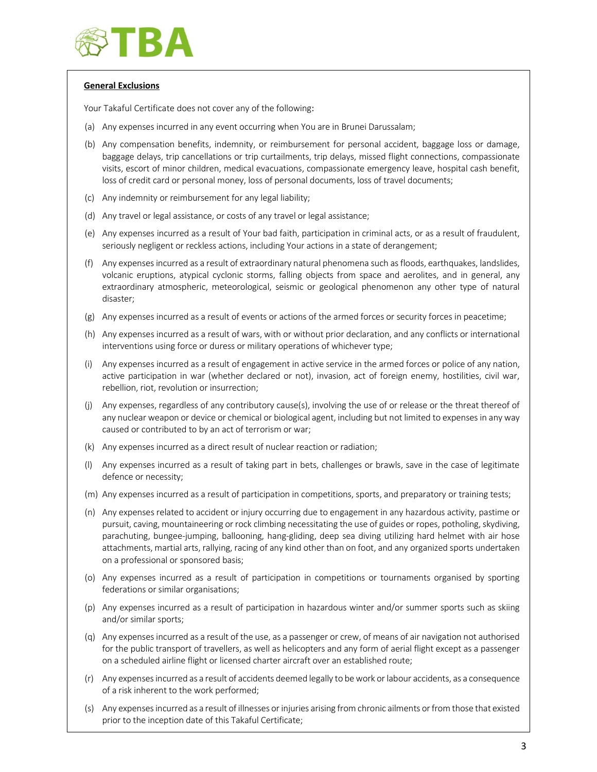

# **General Exclusions**

Your Takaful Certificate does not cover any of the following:

- (a) Any expenses incurred in any event occurring when You are in Brunei Darussalam;
- (b) Any compensation benefits, indemnity, or reimbursement for personal accident, baggage loss or damage, baggage delays, trip cancellations or trip curtailments, trip delays, missed flight connections, compassionate visits, escort of minor children, medical evacuations, compassionate emergency leave, hospital cash benefit, loss of credit card or personal money, loss of personal documents, loss of travel documents;
- (c) Any indemnity or reimbursement for any legal liability;
- (d) Any travel or legal assistance, or costs of any travel or legal assistance;
- (e) Any expenses incurred as a result of Your bad faith, participation in criminal acts, or as a result of fraudulent, seriously negligent or reckless actions, including Your actions in a state of derangement;
- (f) Any expenses incurred as a result of extraordinary natural phenomena such as floods, earthquakes, landslides, volcanic eruptions, atypical cyclonic storms, falling objects from space and aerolites, and in general, any extraordinary atmospheric, meteorological, seismic or geological phenomenon any other type of natural disaster;
- (g) Any expenses incurred as a result of events or actions of the armed forces or security forces in peacetime;
- (h) Any expenses incurred as a result of wars, with or without prior declaration, and any conflicts or international interventions using force or duress or military operations of whichever type;
- (i) Any expenses incurred as a result of engagement in active service in the armed forces or police of any nation, active participation in war (whether declared or not), invasion, act of foreign enemy, hostilities, civil war, rebellion, riot, revolution or insurrection;
- (j) Any expenses, regardless of any contributory cause(s), involving the use of or release or the threat thereof of any nuclear weapon or device or chemical or biological agent, including but not limited to expenses in any way caused or contributed to by an act of terrorism or war;
- (k) Any expenses incurred as a direct result of nuclear reaction or radiation;
- (l) Any expenses incurred as a result of taking part in bets, challenges or brawls, save in the case of legitimate defence or necessity;
- (m) Any expenses incurred as a result of participation in competitions, sports, and preparatory or training tests;
- (n) Any expenses related to accident or injury occurring due to engagement in any hazardous activity, pastime or pursuit, caving, mountaineering or rock climbing necessitating the use of guides or ropes, potholing, skydiving, parachuting, bungee-jumping, ballooning, hang-gliding, deep sea diving utilizing hard helmet with air hose attachments, martial arts, rallying, racing of any kind other than on foot, and any organized sports undertaken on a professional or sponsored basis;
- (o) Any expenses incurred as a result of participation in competitions or tournaments organised by sporting federations or similar organisations;
- (p) Any expenses incurred as a result of participation in hazardous winter and/or summer sports such as skiing and/or similar sports;
- (q) Any expenses incurred as a result of the use, as a passenger or crew, of means of air navigation not authorised for the public transport of travellers, as well as helicopters and any form of aerial flight except as a passenger on a scheduled airline flight or licensed charter aircraft over an established route;
- (r) Any expenses incurred as a result of accidents deemed legally to be work or labour accidents, as a consequence of a risk inherent to the work performed;
- (s) Any expenses incurred as a result of illnesses or injuries arising from chronic ailments or from those that existed prior to the inception date of this Takaful Certificate;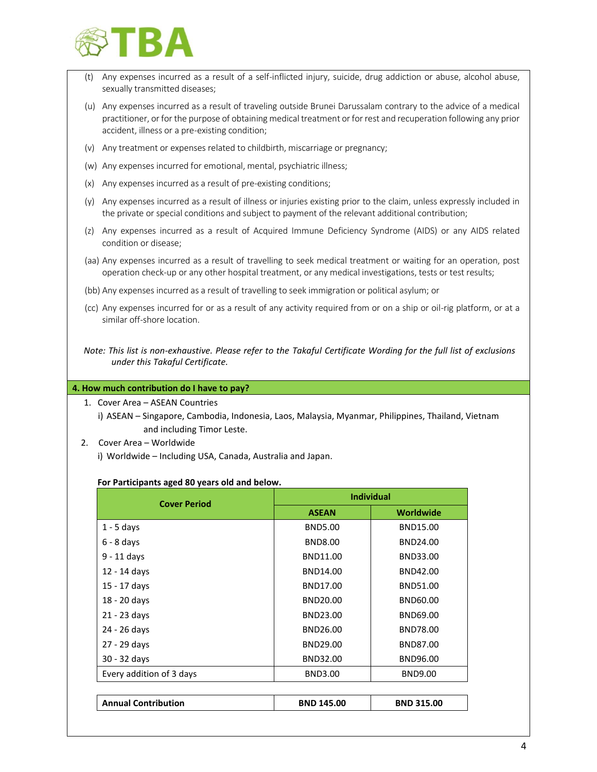

- (t) Any expenses incurred as a result of a self-inflicted injury, suicide, drug addiction or abuse, alcohol abuse, sexually transmitted diseases;
- (u) Any expenses incurred as a result of traveling outside Brunei Darussalam contrary to the advice of a medical practitioner, or for the purpose of obtaining medical treatment or for rest and recuperation following any prior accident, illness or a pre-existing condition;
- (v) Any treatment or expenses related to childbirth, miscarriage or pregnancy;
- (w) Any expenses incurred for emotional, mental, psychiatric illness;
- (x) Any expenses incurred as a result of pre-existing conditions;
- (y) Any expenses incurred as a result of illness or injuries existing prior to the claim, unless expressly included in the private or special conditions and subject to payment of the relevant additional contribution;
- (z) Any expenses incurred as a result of Acquired Immune Deficiency Syndrome (AIDS) or any AIDS related condition or disease;
- (aa) Any expenses incurred as a result of travelling to seek medical treatment or waiting for an operation, post operation check-up or any other hospital treatment, or any medical investigations, tests or test results;
- (bb) Any expenses incurred as a result of travelling to seek immigration or political asylum; or
- (cc) Any expenses incurred for or as a result of any activity required from or on a ship or oil-rig platform, or at a similar off-shore location.
- *Note: This list is non-exhaustive. Please refer to the Takaful Certificate Wording for the full list of exclusions under this Takaful Certificate.*

### **4. How much contribution do I have to pay?**

- 1. Cover Area ASEAN Countries
	- i) ASEAN Singapore, Cambodia, Indonesia, Laos, Malaysia, Myanmar, Philippines, Thailand, Vietnam and including Timor Leste.
- 2. Cover Area Worldwide
	- i) Worldwide Including USA, Canada, Australia and Japan.

#### **For Participants aged 80 years old and below.**

| <b>Cover Period</b>        | <b>Individual</b> |                   |
|----------------------------|-------------------|-------------------|
| <b>ASEAN</b>               |                   | <b>Worldwide</b>  |
| $1 - 5$ days               | <b>BND5.00</b>    | BND15.00          |
| $6 - 8$ days               | <b>BND8.00</b>    | BND24.00          |
| $9 - 11$ days              | BND11.00          | BND33.00          |
| 12 - 14 days               | BND14.00          | BND42.00          |
| 15 - 17 days               | BND17.00          | BND51.00          |
| 18 - 20 days               | BND20.00          | BND60.00          |
| 21 - 23 days               | BND23.00          | BND69.00          |
| 24 - 26 days               | BND26.00          | BND78.00          |
| 27 - 29 days               | BND29.00          | BND87.00          |
| 30 - 32 days               | BND32.00          | BND96.00          |
| Every addition of 3 days   | <b>BND3.00</b>    | <b>BND9.00</b>    |
|                            |                   |                   |
| <b>Annual Contribution</b> | <b>BND 145.00</b> | <b>BND 315.00</b> |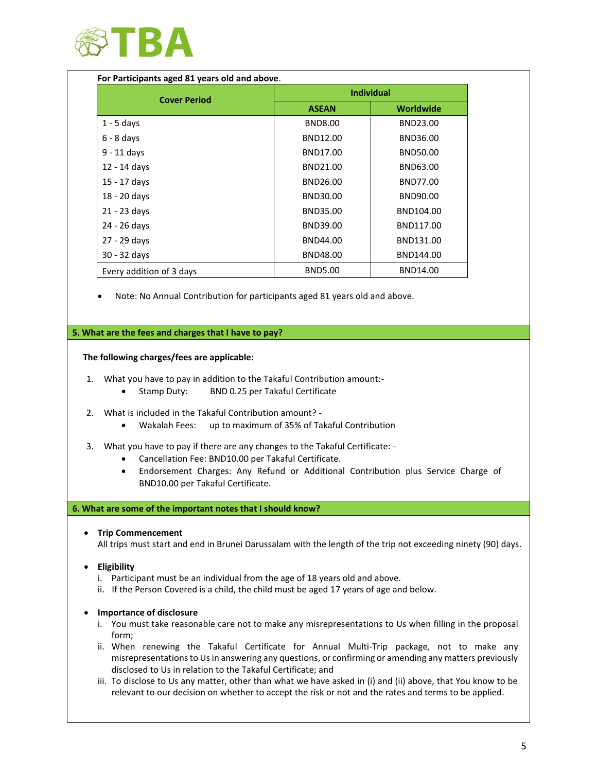

| For Participants aged 81 years old and above. |                   |                  |  |  |  |  |
|-----------------------------------------------|-------------------|------------------|--|--|--|--|
| <b>Cover Period</b>                           | <b>Individual</b> |                  |  |  |  |  |
|                                               | <b>ASEAN</b>      | <b>Worldwide</b> |  |  |  |  |
| $1 - 5$ days                                  | <b>BND8.00</b>    | BND23.00         |  |  |  |  |
| $6 - 8$ days                                  | BND12.00          | BND36.00         |  |  |  |  |
| $9 - 11$ days                                 | BND17.00          | BND50.00         |  |  |  |  |
| 12 - 14 days                                  | BND21.00          | BND63.00         |  |  |  |  |
| 15 - 17 days                                  | BND26.00          | BND77.00         |  |  |  |  |
| 18 - 20 days                                  | BND30.00          | BND90.00         |  |  |  |  |
| 21 - 23 days                                  | BND35.00          | BND104.00        |  |  |  |  |
| 24 - 26 days                                  | BND39.00          | BND117.00        |  |  |  |  |
| 27 - 29 days                                  | BND44.00          | BND131.00        |  |  |  |  |
| 30 - 32 days                                  | BND48.00          | BND144.00        |  |  |  |  |
| Every addition of 3 days                      | <b>BND5.00</b>    | BND14.00         |  |  |  |  |

• Note: No Annual Contribution for participants aged 81 years old and above.

## **5. What are the fees and charges that I have to pay?**

### **The following charges/fees are applicable:**

- 1. What you have to pay in addition to the Takaful Contribution amount:-
	- Stamp Duty: BND 0.25 per Takaful Certificate
- 2. What is included in the Takaful Contribution amount?
	- Wakalah Fees: up to maximum of 35% of Takaful Contribution
- 3. What you have to pay if there are any changes to the Takaful Certificate:
	- Cancellation Fee: BND10.00 per Takaful Certificate.
	- Endorsement Charges: Any Refund or Additional Contribution plus Service Charge of BND10.00 per Takaful Certificate.

### **6. What are some of the important notes that I should know?**

• **Trip Commencement** 

All trips must start and end in Brunei Darussalam with the length of the trip not exceeding ninety (90) days.

- **Eligibility**
	- i. Participant must be an individual from the age of 18 years old and above.
	- ii. If the Person Covered is a child, the child must be aged 17 years of age and below.

### • **Importance of disclosure**

- i. You must take reasonable care not to make any misrepresentations to Us when filling in the proposal form;
- ii. When renewing the Takaful Certificate for Annual Multi-Trip package, not to make any misrepresentations to Us in answering any questions, or confirming or amending any matters previously disclosed to Us in relation to the Takaful Certificate; and
- iii. To disclose to Us any matter, other than what we have asked in (i) and (ii) above, that You know to be relevant to our decision on whether to accept the risk or not and the rates and terms to be applied.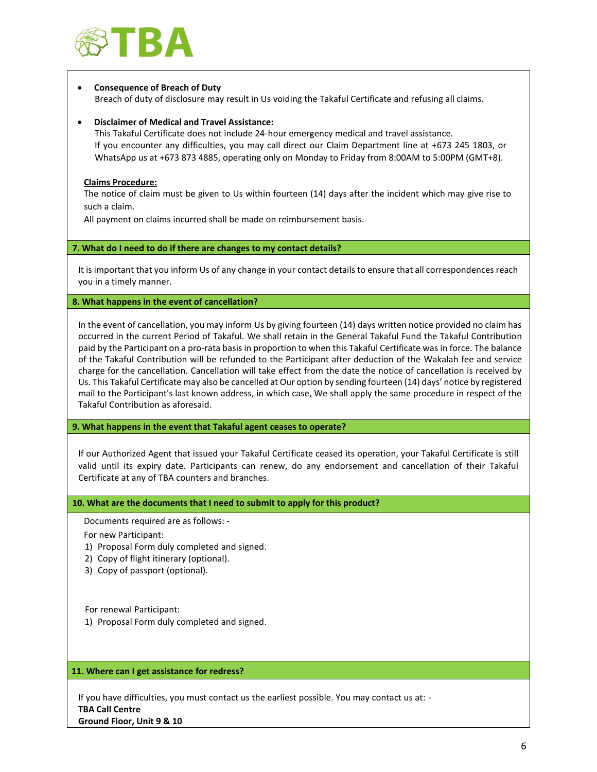

## • **Consequence of Breach of Duty**

Breach of duty of disclosure may result in Us voiding the Takaful Certificate and refusing all claims.

### • **Disclaimer of Medical and Travel Assistance:**

This Takaful Certificate does not include 24-hour emergency medical and travel assistance. If you encounter any difficulties, you may call direct our Claim Department line at +673 245 1803, or WhatsApp us at +673 873 4885, operating only on Monday to Friday from 8:00AM to 5:00PM (GMT+8).

### **Claims Procedure:**

The notice of claim must be given to Us within fourteen (14) days after the incident which may give rise to such a claim.

All payment on claims incurred shall be made on reimbursement basis.

# **7. What do I need to do if there are changes to my contact details?**

It is important that you inform Us of any change in your contact details to ensure that all correspondences reach you in a timely manner.

### **8. What happens in the event of cancellation?**

In the event of cancellation, you may inform Us by giving fourteen (14) days written notice provided no claim has occurred in the current Period of Takaful. We shall retain in the General Takaful Fund the Takaful Contribution paid by the Participant on a pro-rata basis in proportion to when this Takaful Certificate was in force. The balance of the Takaful Contribution will be refunded to the Participant after deduction of the Wakalah fee and service charge for the cancellation. Cancellation will take effect from the date the notice of cancellation is received by Us. This Takaful Certificate may also be cancelled at Our option by sending fourteen (14) days' notice by registered mail to the Participant's last known address, in which case, We shall apply the same procedure in respect of the Takaful Contribution as aforesaid.

**9. What happens in the event that Takaful agent ceases to operate?**

If our Authorized Agent that issued your Takaful Certificate ceased its operation, your Takaful Certificate is still valid until its expiry date. Participants can renew, do any endorsement and cancellation of their Takaful Certificate at any of TBA counters and branches.

**10. What are the documents that I need to submit to apply for this product?**

Documents required are as follows: -

For new Participant:

- 1) Proposal Form duly completed and signed.
- 2) Copy of flight itinerary (optional).
- 3) Copy of passport (optional).

For renewal Participant:

1) Proposal Form duly completed and signed.

### **11. Where can I get assistance for redress?**

If you have difficulties, you must contact us the earliest possible. You may contact us at: - **TBA Call Centre Ground Floor, Unit 9 & 10**